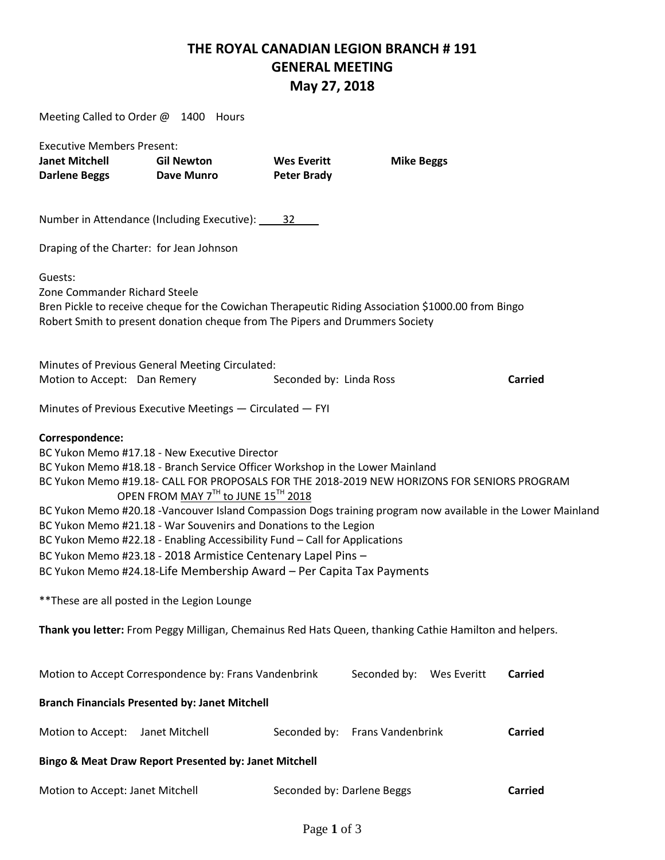### **THE ROYAL CANADIAN LEGION BRANCH # 191 GENERAL MEETING May 27, 2018**

| Meeting Called to Order @ 1400 Hours                                               |                                                                                                                                                                                                                                                                                                                                                                                                                                                                                                                                                                                                                                                                                                                                                                                        |                                          |                          |             |                |
|------------------------------------------------------------------------------------|----------------------------------------------------------------------------------------------------------------------------------------------------------------------------------------------------------------------------------------------------------------------------------------------------------------------------------------------------------------------------------------------------------------------------------------------------------------------------------------------------------------------------------------------------------------------------------------------------------------------------------------------------------------------------------------------------------------------------------------------------------------------------------------|------------------------------------------|--------------------------|-------------|----------------|
| <b>Executive Members Present:</b><br><b>Janet Mitchell</b><br><b>Darlene Beggs</b> | <b>Gil Newton</b><br>Dave Munro                                                                                                                                                                                                                                                                                                                                                                                                                                                                                                                                                                                                                                                                                                                                                        | <b>Wes Everitt</b><br><b>Peter Brady</b> | <b>Mike Beggs</b>        |             |                |
|                                                                                    | Number in Attendance (Including Executive): 32                                                                                                                                                                                                                                                                                                                                                                                                                                                                                                                                                                                                                                                                                                                                         |                                          |                          |             |                |
| Draping of the Charter: for Jean Johnson                                           |                                                                                                                                                                                                                                                                                                                                                                                                                                                                                                                                                                                                                                                                                                                                                                                        |                                          |                          |             |                |
| Guests:<br>Zone Commander Richard Steele                                           | Bren Pickle to receive cheque for the Cowichan Therapeutic Riding Association \$1000.00 from Bingo<br>Robert Smith to present donation cheque from The Pipers and Drummers Society                                                                                                                                                                                                                                                                                                                                                                                                                                                                                                                                                                                                     |                                          |                          |             |                |
| Motion to Accept: Dan Remery                                                       | Minutes of Previous General Meeting Circulated:                                                                                                                                                                                                                                                                                                                                                                                                                                                                                                                                                                                                                                                                                                                                        | Seconded by: Linda Ross                  |                          |             | <b>Carried</b> |
|                                                                                    |                                                                                                                                                                                                                                                                                                                                                                                                                                                                                                                                                                                                                                                                                                                                                                                        |                                          |                          |             |                |
|                                                                                    | Minutes of Previous Executive Meetings - Circulated - FYI                                                                                                                                                                                                                                                                                                                                                                                                                                                                                                                                                                                                                                                                                                                              |                                          |                          |             |                |
| Correspondence:<br>** These are all posted in the Legion Lounge                    | BC Yukon Memo #17.18 - New Executive Director<br>BC Yukon Memo #18.18 - Branch Service Officer Workshop in the Lower Mainland<br>BC Yukon Memo #19.18- CALL FOR PROPOSALS FOR THE 2018-2019 NEW HORIZONS FOR SENIORS PROGRAM<br>OPEN FROM MAY 7TH to JUNE 15TH 2018<br>BC Yukon Memo #20.18 -Vancouver Island Compassion Dogs training program now available in the Lower Mainland<br>BC Yukon Memo #21.18 - War Souvenirs and Donations to the Legion<br>BC Yukon Memo #22.18 - Enabling Accessibility Fund - Call for Applications<br>BC Yukon Memo #23.18 - 2018 Armistice Centenary Lapel Pins -<br>BC Yukon Memo #24.18-Life Membership Award - Per Capita Tax Payments<br>Thank you letter: From Peggy Milligan, Chemainus Red Hats Queen, thanking Cathie Hamilton and helpers. |                                          |                          |             |                |
|                                                                                    | Motion to Accept Correspondence by: Frans Vandenbrink                                                                                                                                                                                                                                                                                                                                                                                                                                                                                                                                                                                                                                                                                                                                  |                                          | Seconded by:             | Wes Everitt | <b>Carried</b> |
|                                                                                    | <b>Branch Financials Presented by: Janet Mitchell</b>                                                                                                                                                                                                                                                                                                                                                                                                                                                                                                                                                                                                                                                                                                                                  |                                          |                          |             |                |
| Motion to Accept:                                                                  | Janet Mitchell                                                                                                                                                                                                                                                                                                                                                                                                                                                                                                                                                                                                                                                                                                                                                                         | Seconded by:                             | <b>Frans Vandenbrink</b> |             | <b>Carried</b> |
|                                                                                    | Bingo & Meat Draw Report Presented by: Janet Mitchell                                                                                                                                                                                                                                                                                                                                                                                                                                                                                                                                                                                                                                                                                                                                  |                                          |                          |             |                |
| Motion to Accept: Janet Mitchell                                                   |                                                                                                                                                                                                                                                                                                                                                                                                                                                                                                                                                                                                                                                                                                                                                                                        | Seconded by: Darlene Beggs               |                          |             | <b>Carried</b> |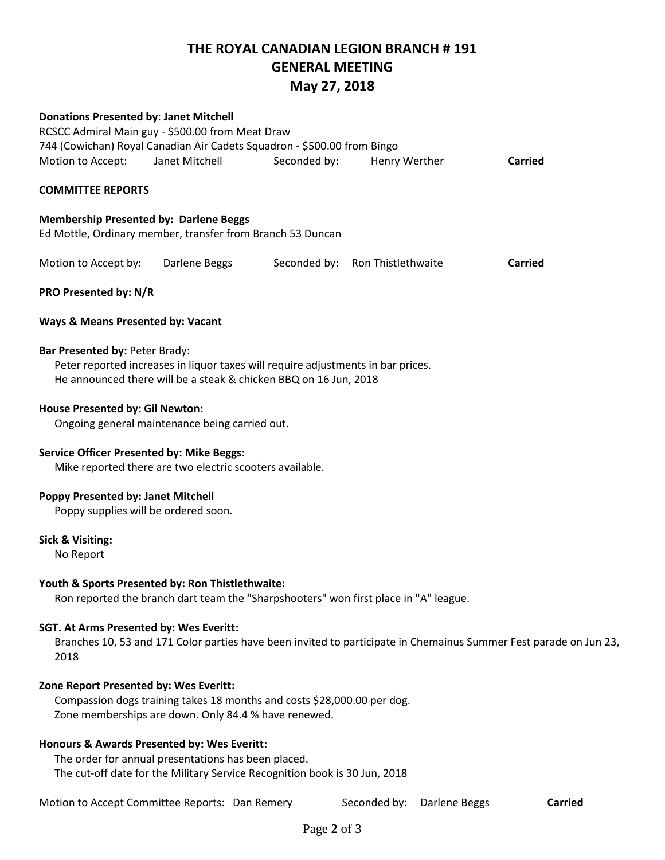# **THE ROYAL CANADIAN LEGION BRANCH # 191 GENERAL MEETING**

## **May 27, 2018**

| <b>Donations Presented by: Janet Mitchell</b>                                                                                                                                          | RCSCC Admiral Main guy - \$500.00 from Meat Draw<br>744 (Cowichan) Royal Canadian Air Cadets Squadron - \$500.00 from Bingo     |              |                                 |         |  |  |  |  |
|----------------------------------------------------------------------------------------------------------------------------------------------------------------------------------------|---------------------------------------------------------------------------------------------------------------------------------|--------------|---------------------------------|---------|--|--|--|--|
| Motion to Accept:<br><b>COMMITTEE REPORTS</b>                                                                                                                                          | Janet Mitchell                                                                                                                  | Seconded by: | Henry Werther                   | Carried |  |  |  |  |
|                                                                                                                                                                                        |                                                                                                                                 |              |                                 |         |  |  |  |  |
|                                                                                                                                                                                        | <b>Membership Presented by: Darlene Beggs</b><br>Ed Mottle, Ordinary member, transfer from Branch 53 Duncan                     |              |                                 |         |  |  |  |  |
| Motion to Accept by:                                                                                                                                                                   | Darlene Beggs                                                                                                                   |              | Seconded by: Ron Thistlethwaite | Carried |  |  |  |  |
| PRO Presented by: N/R                                                                                                                                                                  |                                                                                                                                 |              |                                 |         |  |  |  |  |
| <b>Ways &amp; Means Presented by: Vacant</b>                                                                                                                                           |                                                                                                                                 |              |                                 |         |  |  |  |  |
| Bar Presented by: Peter Brady:<br>Peter reported increases in liquor taxes will require adjustments in bar prices.<br>He announced there will be a steak & chicken BBQ on 16 Jun, 2018 |                                                                                                                                 |              |                                 |         |  |  |  |  |
| House Presented by: Gil Newton:<br>Ongoing general maintenance being carried out.                                                                                                      |                                                                                                                                 |              |                                 |         |  |  |  |  |
| <b>Service Officer Presented by: Mike Beggs:</b><br>Mike reported there are two electric scooters available.                                                                           |                                                                                                                                 |              |                                 |         |  |  |  |  |
| Poppy Presented by: Janet Mitchell                                                                                                                                                     | Poppy supplies will be ordered soon.                                                                                            |              |                                 |         |  |  |  |  |
| <b>Sick &amp; Visiting:</b><br>No Report                                                                                                                                               |                                                                                                                                 |              |                                 |         |  |  |  |  |
| Youth & Sports Presented by: Ron Thistlethwaite:<br>Ron reported the branch dart team the "Sharpshooters" won first place in "A" league.                                               |                                                                                                                                 |              |                                 |         |  |  |  |  |
| <b>SGT. At Arms Presented by: Wes Everitt:</b><br>Branches 10, 53 and 171 Color parties have been invited to participate in Chemainus Summer Fest parade on Jun 23,<br>2018            |                                                                                                                                 |              |                                 |         |  |  |  |  |
| Zone Report Presented by: Wes Everitt:                                                                                                                                                 | Compassion dogs training takes 18 months and costs \$28,000.00 per dog.<br>Zone memberships are down. Only 84.4 % have renewed. |              |                                 |         |  |  |  |  |
|                                                                                                                                                                                        | Honours & Awards Presented by: Wes Everitt:                                                                                     |              |                                 |         |  |  |  |  |

The order for annual presentations has been placed. The cut-off date for the Military Service Recognition book is 30 Jun, 2018

Motion to Accept Committee Reports: Dan Remery Seconded by: Darlene Beggs **Carried**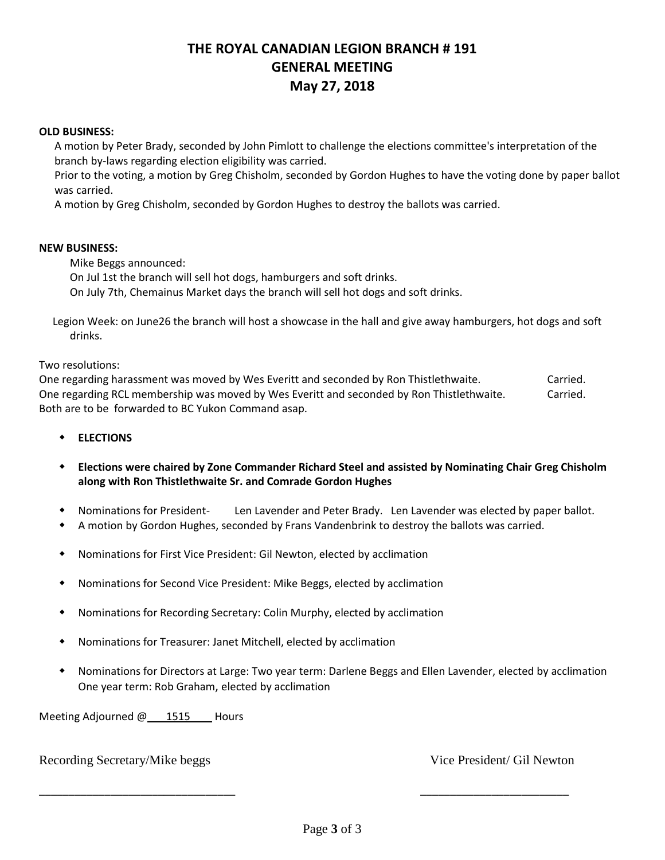### **THE ROYAL CANADIAN LEGION BRANCH # 191 GENERAL MEETING May 27, 2018**

#### **OLD BUSINESS:**

A motion by Peter Brady, seconded by John Pimlott to challenge the elections committee's interpretation of the branch by-laws regarding election eligibility was carried.

Prior to the voting, a motion by Greg Chisholm, seconded by Gordon Hughes to have the voting done by paper ballot was carried.

A motion by Greg Chisholm, seconded by Gordon Hughes to destroy the ballots was carried.

#### **NEW BUSINESS:**

Mike Beggs announced: On Jul 1st the branch will sell hot dogs, hamburgers and soft drinks. On July 7th, Chemainus Market days the branch will sell hot dogs and soft drinks.

 Legion Week: on June26 the branch will host a showcase in the hall and give away hamburgers, hot dogs and soft drinks.

Two resolutions:

One regarding harassment was moved by Wes Everitt and seconded by Ron Thistlethwaite. Carried. One regarding RCL membership was moved by Wes Everitt and seconded by Ron Thistlethwaite. Carried. Both are to be forwarded to BC Yukon Command asap.

- **ELECTIONS**
- **Elections were chaired by Zone Commander Richard Steel and assisted by Nominating Chair Greg Chisholm along with Ron Thistlethwaite Sr. and Comrade Gordon Hughes**
- Nominations for President- Len Lavender and Peter Brady. Len Lavender was elected by paper ballot.
- A motion by Gordon Hughes, seconded by Frans Vandenbrink to destroy the ballots was carried.
- Nominations for First Vice President: Gil Newton, elected by acclimation
- Nominations for Second Vice President: Mike Beggs, elected by acclimation
- Nominations for Recording Secretary: Colin Murphy, elected by acclimation
- Nominations for Treasurer: Janet Mitchell, elected by acclimation
- Nominations for Directors at Large: Two year term: Darlene Beggs and Ellen Lavender, elected by acclimation One year term: Rob Graham, elected by acclimation

Meeting Adjourned @ 1515 Hours

### Recording Secretary/Mike beggs Vice President/ Gil Newton

\_\_\_\_\_\_\_\_\_\_\_\_\_\_\_\_\_\_\_\_\_\_\_\_\_\_\_\_\_\_\_\_\_ \_\_\_\_\_\_\_\_\_\_\_\_\_\_\_\_\_\_\_\_\_\_\_\_\_